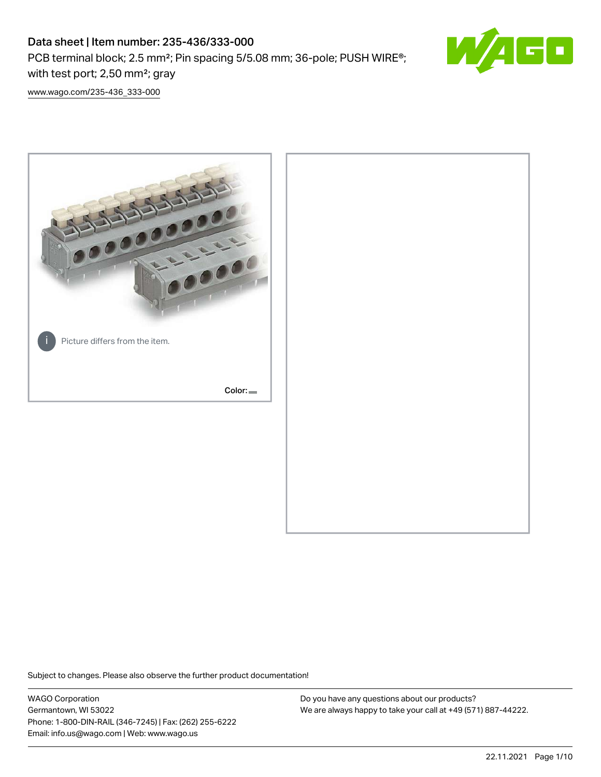PCB terminal block; 2.5 mm<sup>2</sup>; Pin spacing 5/5.08 mm; 36-pole; PUSH WIRE<sup>®</sup>; with test port; 2,50 mm²; gray



[www.wago.com/235-436\\_333-000](http://www.wago.com/235-436_333-000)



Subject to changes. Please also observe the further product documentation!

WAGO Corporation Germantown, WI 53022 Phone: 1-800-DIN-RAIL (346-7245) | Fax: (262) 255-6222 Email: info.us@wago.com | Web: www.wago.us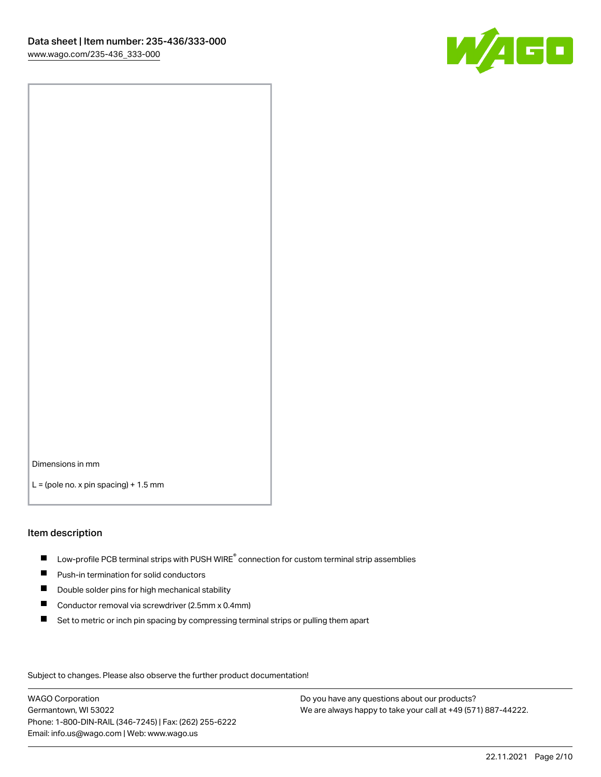

Dimensions in mm

 $L =$  (pole no. x pin spacing) + 1.5 mm

#### Item description

- $\blacksquare$  Low-profile PCB terminal strips with PUSH WIRE<sup>®</sup> connection for custom terminal strip assemblies
- **Push-in termination for solid conductors**
- $\blacksquare$ Double solder pins for high mechanical stability
- $\blacksquare$ Conductor removal via screwdriver (2.5mm x 0.4mm)
- $\blacksquare$ Set to metric or inch pin spacing by compressing terminal strips or pulling them apart

Subject to changes. Please also observe the further product documentation!

WAGO Corporation Germantown, WI 53022 Phone: 1-800-DIN-RAIL (346-7245) | Fax: (262) 255-6222 Email: info.us@wago.com | Web: www.wago.us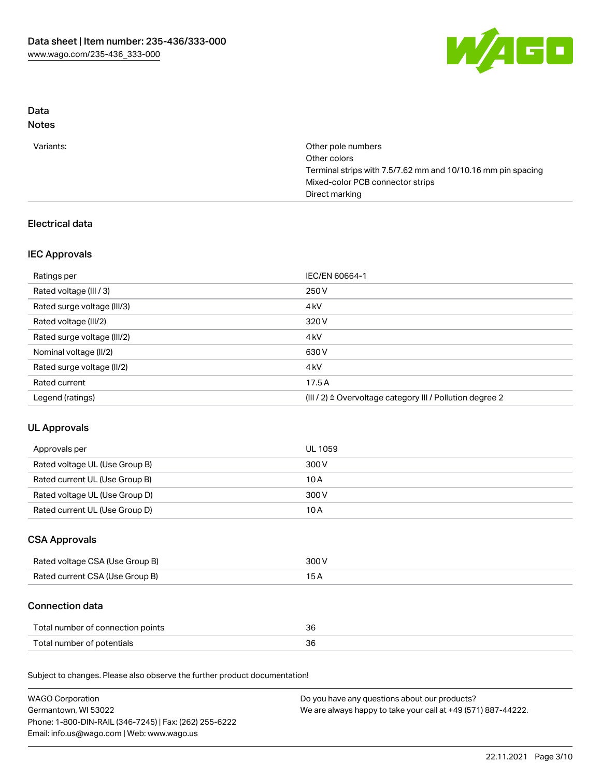

# Data

# Notes

| Variants: | Other pole numbers                                           |
|-----------|--------------------------------------------------------------|
|           | Other colors                                                 |
|           | Terminal strips with 7.5/7.62 mm and 10/10.16 mm pin spacing |
|           | Mixed-color PCB connector strips                             |
|           | Direct marking                                               |

### Electrical data

# IEC Approvals

| Ratings per                 | IEC/EN 60664-1                                            |
|-----------------------------|-----------------------------------------------------------|
| Rated voltage (III / 3)     | 250 V                                                     |
| Rated surge voltage (III/3) | 4 <sub>k</sub> V                                          |
| Rated voltage (III/2)       | 320 V                                                     |
| Rated surge voltage (III/2) | 4 <sub>k</sub> V                                          |
| Nominal voltage (II/2)      | 630 V                                                     |
| Rated surge voltage (II/2)  | 4 <sub>k</sub> V                                          |
| Rated current               | 17.5A                                                     |
| Legend (ratings)            | (III / 2) ≙ Overvoltage category III / Pollution degree 2 |

# UL Approvals

| Approvals per                  | UL 1059 |
|--------------------------------|---------|
| Rated voltage UL (Use Group B) | 300 V   |
| Rated current UL (Use Group B) | 10 A    |
| Rated voltage UL (Use Group D) | 300 V   |
| Rated current UL (Use Group D) | 10 A    |

### CSA Approvals

| Rated voltage CSA (Use Group B) | 300 V |
|---------------------------------|-------|
| Rated current CSA (Use Group B) |       |

### Connection data

| Total number of connection points | 36 |
|-----------------------------------|----|
| Total number of potentials        | 36 |

Subject to changes. Please also observe the further product documentation!

| <b>WAGO Corporation</b>                                | Do you have any questions about our products?                 |
|--------------------------------------------------------|---------------------------------------------------------------|
| Germantown, WI 53022                                   | We are always happy to take your call at +49 (571) 887-44222. |
| Phone: 1-800-DIN-RAIL (346-7245)   Fax: (262) 255-6222 |                                                               |
| Email: info.us@wago.com   Web: www.wago.us             |                                                               |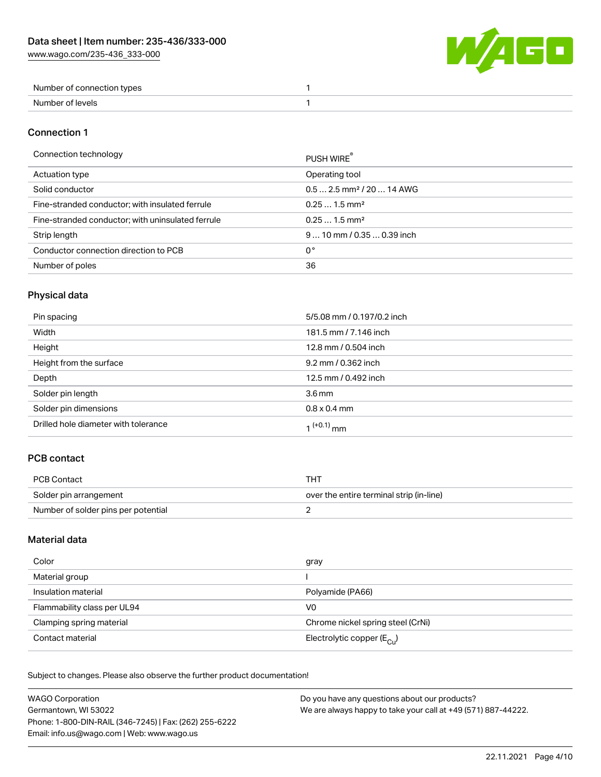[www.wago.com/235-436\\_333-000](http://www.wago.com/235-436_333-000)



| Number of connection types |  |
|----------------------------|--|
| . Numher of v<br>عاصرها ·  |  |

#### Connection 1

#### Connection technology **PUSH WIRE®**

|                                                   | <b>PUSH WIRE</b>                       |
|---------------------------------------------------|----------------------------------------|
| Actuation type                                    | Operating tool                         |
| Solid conductor                                   | $0.5$ 2.5 mm <sup>2</sup> / 20  14 AWG |
| Fine-stranded conductor; with insulated ferrule   | $0.251.5$ mm <sup>2</sup>              |
| Fine-stranded conductor; with uninsulated ferrule | $0.251.5$ mm <sup>2</sup>              |
| Strip length                                      | 9  10 mm / 0.35  0.39 inch             |
| Conductor connection direction to PCB             | 0°                                     |
| Number of poles                                   | 36                                     |
|                                                   |                                        |

# Physical data

| Pin spacing                          | 5/5.08 mm / 0.197/0.2 inch |
|--------------------------------------|----------------------------|
| Width                                | 181.5 mm / 7.146 inch      |
| Height                               | 12.8 mm / 0.504 inch       |
| Height from the surface              | 9.2 mm / 0.362 inch        |
| Depth                                | 12.5 mm / 0.492 inch       |
| Solder pin length                    | 3.6 <sub>mm</sub>          |
| Solder pin dimensions                | $0.8 \times 0.4$ mm        |
| Drilled hole diameter with tolerance | 1 <sup>(+0.1)</sup> mm     |

### PCB contact

| PCB Contact                         | тнт                                      |
|-------------------------------------|------------------------------------------|
| Solder pin arrangement              | over the entire terminal strip (in-line) |
| Number of solder pins per potential |                                          |

### Material data

| Color                       | gray                                    |
|-----------------------------|-----------------------------------------|
| Material group              |                                         |
| Insulation material         | Polyamide (PA66)                        |
| Flammability class per UL94 | V0                                      |
| Clamping spring material    | Chrome nickel spring steel (CrNi)       |
| Contact material            | Electrolytic copper ( $E_{\text{Cl}}$ ) |

Subject to changes. Please also observe the further product documentation!

| <b>WAGO Corporation</b>                                | Do you have any questions about our products?                 |
|--------------------------------------------------------|---------------------------------------------------------------|
| Germantown, WI 53022                                   | We are always happy to take your call at +49 (571) 887-44222. |
| Phone: 1-800-DIN-RAIL (346-7245)   Fax: (262) 255-6222 |                                                               |
| Email: info.us@wago.com   Web: www.wago.us             |                                                               |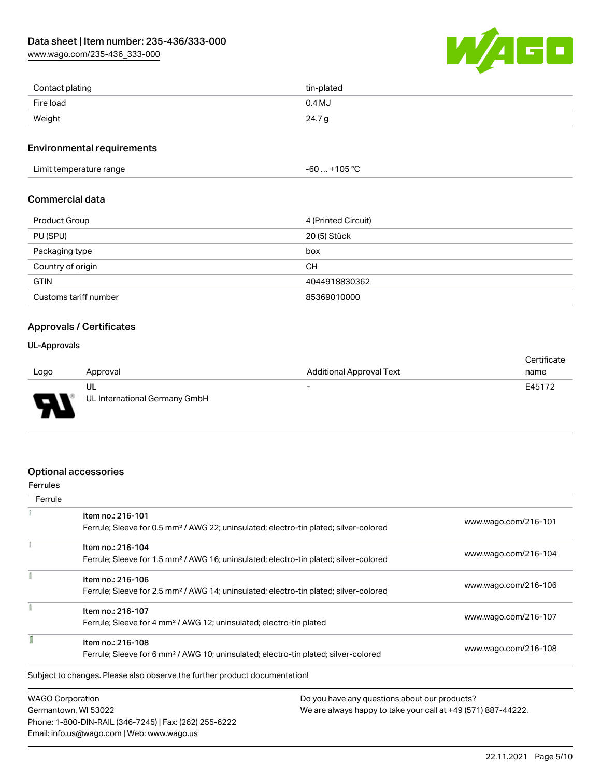[www.wago.com/235-436\\_333-000](http://www.wago.com/235-436_333-000)



| Contact plating | tin-plated |
|-----------------|------------|
| Fire load       | $0.4$ MJ   |
| Weight          | 24.7g      |

#### Environmental requirements

Limit temperature range  $-60... +105$  °C

### Commercial data

| <b>Product Group</b>  | 4 (Printed Circuit) |
|-----------------------|---------------------|
| PU (SPU)              | 20 (5) Stück        |
| Packaging type        | box                 |
| Country of origin     | CН                  |
| <b>GTIN</b>           | 4044918830362       |
| Customs tariff number | 85369010000         |

### Approvals / Certificates

#### UL-Approvals

773

|        |                               |                                 | Certificate |
|--------|-------------------------------|---------------------------------|-------------|
| Logo   | Approval                      | <b>Additional Approval Text</b> | name        |
|        | ul                            | $\overline{\phantom{0}}$        | E45172      |
| $\Box$ | UL International Germany GmbH |                                 |             |

### Optional accessories

Email: info.us@wago.com | Web: www.wago.us

| <b>Ferrules</b>         |                                                                                                                        |                                               |                                                               |  |
|-------------------------|------------------------------------------------------------------------------------------------------------------------|-----------------------------------------------|---------------------------------------------------------------|--|
| Ferrule                 |                                                                                                                        |                                               |                                                               |  |
|                         | Item no.: 216-101<br>Ferrule; Sleeve for 0.5 mm <sup>2</sup> / AWG 22; uninsulated; electro-tin plated; silver-colored |                                               | www.wago.com/216-101                                          |  |
|                         | Item no.: 216-104                                                                                                      |                                               | www.wago.com/216-104                                          |  |
|                         | Ferrule; Sleeve for 1.5 mm <sup>2</sup> / AWG 16; uninsulated; electro-tin plated; silver-colored                      |                                               |                                                               |  |
|                         | Item no.: 216-106                                                                                                      |                                               |                                                               |  |
|                         | Ferrule; Sleeve for 2.5 mm <sup>2</sup> / AWG 14; uninsulated; electro-tin plated; silver-colored                      |                                               | www.wago.com/216-106                                          |  |
|                         | Item no.: 216-107                                                                                                      |                                               |                                                               |  |
|                         | Ferrule; Sleeve for 4 mm <sup>2</sup> / AWG 12; uninsulated; electro-tin plated                                        |                                               | www.wago.com/216-107                                          |  |
|                         | Item no.: 216-108                                                                                                      |                                               |                                                               |  |
|                         | Ferrule; Sleeve for 6 mm <sup>2</sup> / AWG 10; uninsulated; electro-tin plated; silver-colored                        |                                               | www.wago.com/216-108                                          |  |
|                         | Subject to changes. Please also observe the further product documentation!                                             |                                               |                                                               |  |
| <b>WAGO Corporation</b> |                                                                                                                        | Do you have any questions about our products? |                                                               |  |
| Germantown, WI 53022    |                                                                                                                        |                                               | We are always happy to take your call at +49 (571) 887-44222. |  |
|                         | Phone: 1-800-DIN-RAIL (346-7245)   Fax: (262) 255-6222                                                                 |                                               |                                                               |  |

22.11.2021 Page 5/10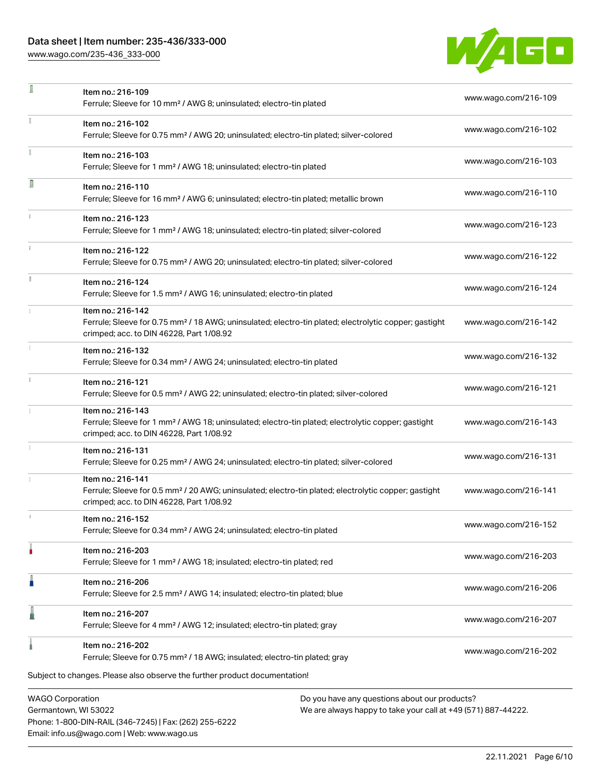Phone: 1-800-DIN-RAIL (346-7245) | Fax: (262) 255-6222

Email: info.us@wago.com | Web: www.wago.us

[www.wago.com/235-436\\_333-000](http://www.wago.com/235-436_333-000)

÷,



| ı | Item no.: 216-109<br>Ferrule; Sleeve for 10 mm <sup>2</sup> / AWG 8; uninsulated; electro-tin plated                                                                               |                                                                                                                | www.wago.com/216-109 |
|---|------------------------------------------------------------------------------------------------------------------------------------------------------------------------------------|----------------------------------------------------------------------------------------------------------------|----------------------|
|   | Item no.: 216-102<br>Ferrule; Sleeve for 0.75 mm <sup>2</sup> / AWG 20; uninsulated; electro-tin plated; silver-colored                                                            |                                                                                                                | www.wago.com/216-102 |
|   | Item no.: 216-103<br>Ferrule; Sleeve for 1 mm <sup>2</sup> / AWG 18; uninsulated; electro-tin plated                                                                               |                                                                                                                | www.wago.com/216-103 |
| Ω | Item no.: 216-110<br>Ferrule; Sleeve for 16 mm <sup>2</sup> / AWG 6; uninsulated; electro-tin plated; metallic brown                                                               |                                                                                                                | www.wago.com/216-110 |
|   | Item no.: 216-123<br>Ferrule; Sleeve for 1 mm <sup>2</sup> / AWG 18; uninsulated; electro-tin plated; silver-colored                                                               |                                                                                                                | www.wago.com/216-123 |
|   | Item no.: 216-122<br>Ferrule; Sleeve for 0.75 mm <sup>2</sup> / AWG 20; uninsulated; electro-tin plated; silver-colored                                                            |                                                                                                                | www.wago.com/216-122 |
|   | Item no.: 216-124<br>Ferrule; Sleeve for 1.5 mm <sup>2</sup> / AWG 16; uninsulated; electro-tin plated                                                                             |                                                                                                                | www.wago.com/216-124 |
|   | Item no.: 216-142<br>Ferrule; Sleeve for 0.75 mm <sup>2</sup> / 18 AWG; uninsulated; electro-tin plated; electrolytic copper; gastight<br>crimped; acc. to DIN 46228, Part 1/08.92 |                                                                                                                | www.wago.com/216-142 |
|   | Item no.: 216-132<br>Ferrule; Sleeve for 0.34 mm <sup>2</sup> / AWG 24; uninsulated; electro-tin plated                                                                            |                                                                                                                | www.wago.com/216-132 |
|   | Item no.: 216-121<br>Ferrule; Sleeve for 0.5 mm <sup>2</sup> / AWG 22; uninsulated; electro-tin plated; silver-colored                                                             |                                                                                                                | www.wago.com/216-121 |
|   | Item no.: 216-143<br>Ferrule; Sleeve for 1 mm <sup>2</sup> / AWG 18; uninsulated; electro-tin plated; electrolytic copper; gastight<br>crimped; acc. to DIN 46228, Part 1/08.92    |                                                                                                                | www.wago.com/216-143 |
|   | Item no.: 216-131<br>Ferrule; Sleeve for 0.25 mm <sup>2</sup> / AWG 24; uninsulated; electro-tin plated; silver-colored                                                            |                                                                                                                | www.wago.com/216-131 |
|   | Item no.: 216-141<br>Ferrule; Sleeve for 0.5 mm <sup>2</sup> / 20 AWG; uninsulated; electro-tin plated; electrolytic copper; gastight<br>crimped; acc. to DIN 46228, Part 1/08.92  |                                                                                                                | www.wago.com/216-141 |
|   | Item no.: 216-152<br>Ferrule; Sleeve for 0.34 mm <sup>2</sup> / AWG 24; uninsulated; electro-tin plated                                                                            |                                                                                                                | www.wago.com/216-152 |
|   | Item no.: 216-203<br>Ferrule; Sleeve for 1 mm <sup>2</sup> / AWG 18; insulated; electro-tin plated; red                                                                            |                                                                                                                | www.wago.com/216-203 |
|   | Item no.: 216-206<br>Ferrule; Sleeve for 2.5 mm <sup>2</sup> / AWG 14; insulated; electro-tin plated; blue                                                                         |                                                                                                                | www.wago.com/216-206 |
|   | Item no.: 216-207<br>Ferrule; Sleeve for 4 mm <sup>2</sup> / AWG 12; insulated; electro-tin plated; gray                                                                           |                                                                                                                | www.wago.com/216-207 |
|   | Item no.: 216-202<br>Ferrule; Sleeve for 0.75 mm <sup>2</sup> / 18 AWG; insulated; electro-tin plated; gray                                                                        |                                                                                                                | www.wago.com/216-202 |
|   | Subject to changes. Please also observe the further product documentation!                                                                                                         |                                                                                                                |                      |
|   | <b>WAGO Corporation</b><br>Germantown, WI 53022                                                                                                                                    | Do you have any questions about our products?<br>We are always happy to take your call at +49 (571) 887-44222. |                      |

22.11.2021 Page 6/10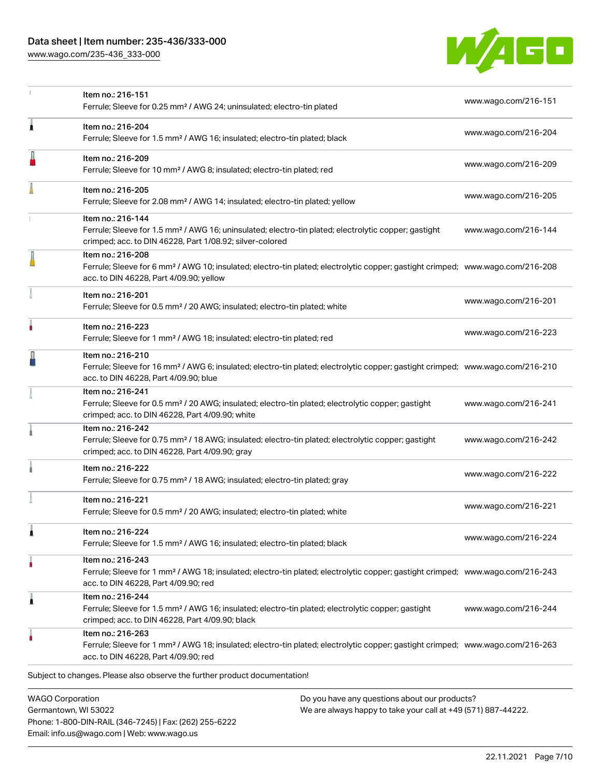[www.wago.com/235-436\\_333-000](http://www.wago.com/235-436_333-000)

Email: info.us@wago.com | Web: www.wago.us



|                                                 | Item no.: 216-151<br>Ferrule; Sleeve for 0.25 mm <sup>2</sup> / AWG 24; uninsulated; electro-tin plated                                                                                                    |                                                                                                                | www.wago.com/216-151 |
|-------------------------------------------------|------------------------------------------------------------------------------------------------------------------------------------------------------------------------------------------------------------|----------------------------------------------------------------------------------------------------------------|----------------------|
| 1                                               | Item no.: 216-204<br>Ferrule; Sleeve for 1.5 mm <sup>2</sup> / AWG 16; insulated; electro-tin plated; black                                                                                                |                                                                                                                | www.wago.com/216-204 |
|                                                 | Item no.: 216-209<br>Ferrule; Sleeve for 10 mm <sup>2</sup> / AWG 8; insulated; electro-tin plated; red                                                                                                    |                                                                                                                | www.wago.com/216-209 |
|                                                 | Item no.: 216-205<br>Ferrule; Sleeve for 2.08 mm <sup>2</sup> / AWG 14; insulated; electro-tin plated; yellow                                                                                              |                                                                                                                | www.wago.com/216-205 |
|                                                 | Item no.: 216-144<br>Ferrule; Sleeve for 1.5 mm <sup>2</sup> / AWG 16; uninsulated; electro-tin plated; electrolytic copper; gastight<br>crimped; acc. to DIN 46228, Part 1/08.92; silver-colored          |                                                                                                                | www.wago.com/216-144 |
|                                                 | Item no.: 216-208<br>Ferrule; Sleeve for 6 mm <sup>2</sup> / AWG 10; insulated; electro-tin plated; electrolytic copper; gastight crimped; www.wago.com/216-208<br>acc. to DIN 46228, Part 4/09.90; yellow |                                                                                                                |                      |
|                                                 | Item no.: 216-201<br>Ferrule; Sleeve for 0.5 mm <sup>2</sup> / 20 AWG; insulated; electro-tin plated; white                                                                                                |                                                                                                                | www.wago.com/216-201 |
|                                                 | Item no.: 216-223<br>Ferrule; Sleeve for 1 mm <sup>2</sup> / AWG 18; insulated; electro-tin plated; red                                                                                                    |                                                                                                                | www.wago.com/216-223 |
|                                                 | Item no.: 216-210<br>Ferrule; Sleeve for 16 mm <sup>2</sup> / AWG 6; insulated; electro-tin plated; electrolytic copper; gastight crimped; www.wago.com/216-210<br>acc. to DIN 46228, Part 4/09.90; blue   |                                                                                                                |                      |
|                                                 | Item no.: 216-241<br>Ferrule; Sleeve for 0.5 mm <sup>2</sup> / 20 AWG; insulated; electro-tin plated; electrolytic copper; gastight<br>crimped; acc. to DIN 46228, Part 4/09.90; white                     |                                                                                                                | www.wago.com/216-241 |
|                                                 | Item no.: 216-242<br>Ferrule; Sleeve for 0.75 mm <sup>2</sup> / 18 AWG; insulated; electro-tin plated; electrolytic copper; gastight<br>crimped; acc. to DIN 46228, Part 4/09.90; gray                     |                                                                                                                | www.wago.com/216-242 |
|                                                 | Item no.: 216-222<br>Ferrule; Sleeve for 0.75 mm <sup>2</sup> / 18 AWG; insulated; electro-tin plated; gray                                                                                                |                                                                                                                | www.wago.com/216-222 |
|                                                 | Item no.: 216-221<br>Ferrule; Sleeve for 0.5 mm <sup>2</sup> / 20 AWG; insulated; electro-tin plated; white                                                                                                |                                                                                                                | www.wago.com/216-221 |
|                                                 | Item no.: 216-224<br>Ferrule; Sleeve for 1.5 mm <sup>2</sup> / AWG 16; insulated; electro-tin plated; black                                                                                                |                                                                                                                | www.wago.com/216-224 |
|                                                 | Item no.: 216-243<br>Ferrule; Sleeve for 1 mm <sup>2</sup> / AWG 18; insulated; electro-tin plated; electrolytic copper; gastight crimped; www.wago.com/216-243<br>acc. to DIN 46228, Part 4/09.90; red    |                                                                                                                |                      |
| 1                                               | Item no.: 216-244<br>Ferrule; Sleeve for 1.5 mm <sup>2</sup> / AWG 16; insulated; electro-tin plated; electrolytic copper; gastight<br>crimped; acc. to DIN 46228, Part 4/09.90; black                     |                                                                                                                | www.wago.com/216-244 |
|                                                 | Item no.: 216-263<br>Ferrule; Sleeve for 1 mm <sup>2</sup> / AWG 18; insulated; electro-tin plated; electrolytic copper; gastight crimped; www.wago.com/216-263<br>acc. to DIN 46228, Part 4/09.90; red    |                                                                                                                |                      |
|                                                 | Subject to changes. Please also observe the further product documentation!                                                                                                                                 |                                                                                                                |                      |
| <b>WAGO Corporation</b><br>Germantown, WI 53022 | Phone: 1-800-DIN-RAIL (346-7245)   Fax: (262) 255-6222                                                                                                                                                     | Do you have any questions about our products?<br>We are always happy to take your call at +49 (571) 887-44222. |                      |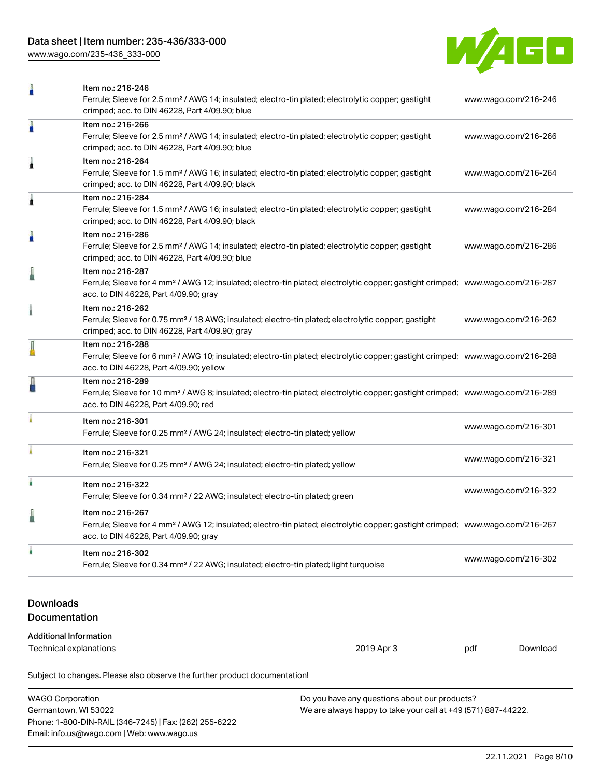[www.wago.com/235-436\\_333-000](http://www.wago.com/235-436_333-000)



|                                   | Item no.: 216-246<br>Ferrule; Sleeve for 2.5 mm <sup>2</sup> / AWG 14; insulated; electro-tin plated; electrolytic copper; gastight<br>www.wago.com/216-246<br>crimped; acc. to DIN 46228, Part 4/09.90; blue |                                                                                                                                        |                      |          |  |
|-----------------------------------|---------------------------------------------------------------------------------------------------------------------------------------------------------------------------------------------------------------|----------------------------------------------------------------------------------------------------------------------------------------|----------------------|----------|--|
| n                                 | Item no.: 216-266<br>crimped; acc. to DIN 46228, Part 4/09.90; blue                                                                                                                                           | Ferrule; Sleeve for 2.5 mm <sup>2</sup> / AWG 14; insulated; electro-tin plated; electrolytic copper; gastight<br>www.wago.com/216-266 |                      |          |  |
| 1                                 | Item no.: 216-264<br>Ferrule; Sleeve for 1.5 mm <sup>2</sup> / AWG 16; insulated; electro-tin plated; electrolytic copper; gastight<br>crimped; acc. to DIN 46228, Part 4/09.90; black                        |                                                                                                                                        | www.wago.com/216-264 |          |  |
| 1                                 | Item no.: 216-284<br>Ferrule; Sleeve for 1.5 mm <sup>2</sup> / AWG 16; insulated; electro-tin plated; electrolytic copper; gastight<br>crimped; acc. to DIN 46228, Part 4/09.90; black                        |                                                                                                                                        | www.wago.com/216-284 |          |  |
| n                                 | Item no.: 216-286<br>Ferrule; Sleeve for 2.5 mm <sup>2</sup> / AWG 14; insulated; electro-tin plated; electrolytic copper; gastight<br>crimped; acc. to DIN 46228, Part 4/09.90; blue                         |                                                                                                                                        | www.wago.com/216-286 |          |  |
| I                                 | Item no.: 216-287<br>Ferrule; Sleeve for 4 mm <sup>2</sup> / AWG 12; insulated; electro-tin plated; electrolytic copper; gastight crimped; www.wago.com/216-287<br>acc. to DIN 46228, Part 4/09.90; gray      |                                                                                                                                        |                      |          |  |
|                                   | Item no.: 216-262<br>Ferrule; Sleeve for 0.75 mm <sup>2</sup> / 18 AWG; insulated; electro-tin plated; electrolytic copper; gastight<br>crimped; acc. to DIN 46228, Part 4/09.90; gray                        |                                                                                                                                        | www.wago.com/216-262 |          |  |
|                                   | Item no.: 216-288<br>Ferrule; Sleeve for 6 mm <sup>2</sup> / AWG 10; insulated; electro-tin plated; electrolytic copper; gastight crimped; www.wago.com/216-288<br>acc. to DIN 46228, Part 4/09.90; yellow    |                                                                                                                                        |                      |          |  |
|                                   | Item no.: 216-289<br>Ferrule; Sleeve for 10 mm <sup>2</sup> / AWG 8; insulated; electro-tin plated; electrolytic copper; gastight crimped; www.wago.com/216-289<br>acc. to DIN 46228, Part 4/09.90; red       |                                                                                                                                        |                      |          |  |
|                                   | Item no.: 216-301<br>Ferrule; Sleeve for 0.25 mm <sup>2</sup> / AWG 24; insulated; electro-tin plated; yellow                                                                                                 |                                                                                                                                        | www.wago.com/216-301 |          |  |
|                                   | Item no.: 216-321<br>Ferrule; Sleeve for 0.25 mm <sup>2</sup> / AWG 24; insulated; electro-tin plated; yellow                                                                                                 |                                                                                                                                        | www.wago.com/216-321 |          |  |
|                                   | Item no.: 216-322<br>Ferrule; Sleeve for 0.34 mm <sup>2</sup> / 22 AWG; insulated; electro-tin plated; green                                                                                                  |                                                                                                                                        | www.wago.com/216-322 |          |  |
|                                   | Item no.: 216-267<br>Ferrule; Sleeve for 4 mm <sup>2</sup> / AWG 12; insulated; electro-tin plated; electrolytic copper; gastight crimped; www.wago.com/216-267<br>acc. to DIN 46228, Part 4/09.90; gray      |                                                                                                                                        |                      |          |  |
|                                   | Item no.: 216-302<br>Ferrule; Sleeve for 0.34 mm <sup>2</sup> / 22 AWG; insulated; electro-tin plated; light turquoise                                                                                        |                                                                                                                                        | www.wago.com/216-302 |          |  |
| <b>Downloads</b><br>Documentation |                                                                                                                                                                                                               |                                                                                                                                        |                      |          |  |
| <b>Additional Information</b>     |                                                                                                                                                                                                               |                                                                                                                                        |                      |          |  |
| Technical explanations            |                                                                                                                                                                                                               | 2019 Apr 3                                                                                                                             | pdf                  | Download |  |
|                                   | Subject to changes. Please also observe the further product documentation!                                                                                                                                    |                                                                                                                                        |                      |          |  |

| WAGO Corporation                                       | Do you have any questions about our products?                 |
|--------------------------------------------------------|---------------------------------------------------------------|
| Germantown, WI 53022                                   | We are always happy to take your call at +49 (571) 887-44222. |
| Phone: 1-800-DIN-RAIL (346-7245)   Fax: (262) 255-6222 |                                                               |
| Email: info.us@wago.com   Web: www.wago.us             |                                                               |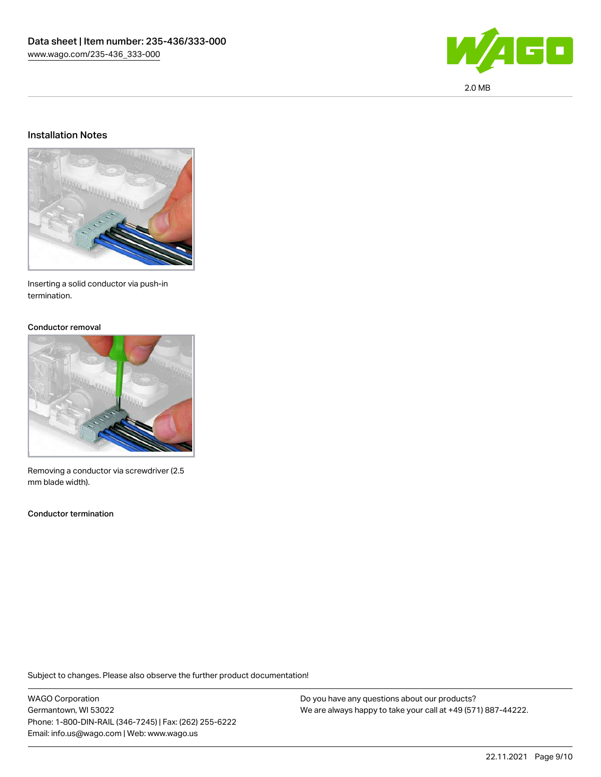

#### Installation Notes



Inserting a solid conductor via push-in termination.

#### Conductor removal



Removing a conductor via screwdriver (2.5 mm blade width).

Conductor termination

Subject to changes. Please also observe the further product documentation!

WAGO Corporation Germantown, WI 53022 Phone: 1-800-DIN-RAIL (346-7245) | Fax: (262) 255-6222 Email: info.us@wago.com | Web: www.wago.us